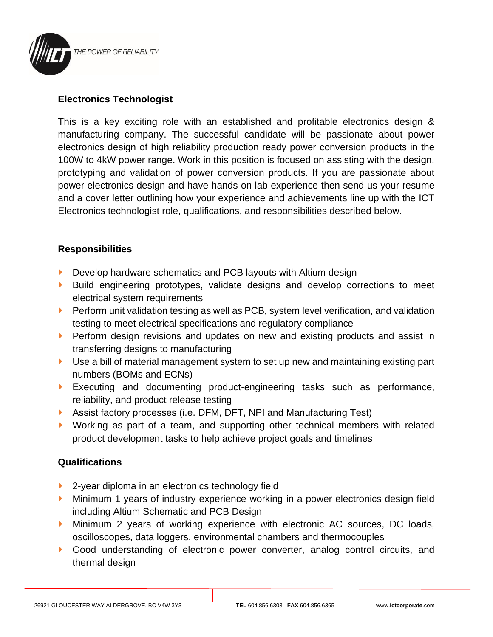

## **Electronics Technologist**

This is a key exciting role with an established and profitable electronics design & manufacturing company. The successful candidate will be passionate about power electronics design of high reliability production ready power conversion products in the 100W to 4kW power range. Work in this position is focused on assisting with the design, prototyping and validation of power conversion products. If you are passionate about power electronics design and have hands on lab experience then send us your resume and a cover letter outlining how your experience and achievements line up with the ICT Electronics technologist role, qualifications, and responsibilities described below.

## **Responsibilities**

- Develop hardware schematics and PCB layouts with Altium design
- Build engineering prototypes, validate designs and develop corrections to meet electrical system requirements
- **Perform unit validation testing as well as PCB, system level verification, and validation** testing to meet electrical specifications and regulatory compliance
- **Perform design revisions and updates on new and existing products and assist in** transferring designs to manufacturing
- Use a bill of material management system to set up new and maintaining existing part numbers (BOMs and ECNs)
- Executing and documenting product-engineering tasks such as performance, reliability, and product release testing
- Assist factory processes (i.e. DFM, DFT, NPI and Manufacturing Test)
- Working as part of a team, and supporting other technical members with related product development tasks to help achieve project goals and timelines

## **Qualifications**

- ▶ 2-year diploma in an electronics technology field
- **Minimum 1 years of industry experience working in a power electronics design field** including Altium Schematic and PCB Design
- Minimum 2 years of working experience with electronic AC sources, DC loads, oscilloscopes, data loggers, environmental chambers and thermocouples
- Good understanding of electronic power converter, analog control circuits, and thermal design